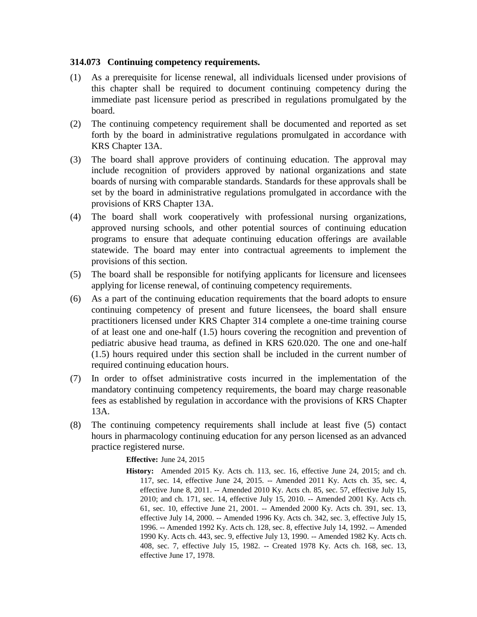## **314.073 Continuing competency requirements.**

- (1) As a prerequisite for license renewal, all individuals licensed under provisions of this chapter shall be required to document continuing competency during the immediate past licensure period as prescribed in regulations promulgated by the board.
- (2) The continuing competency requirement shall be documented and reported as set forth by the board in administrative regulations promulgated in accordance with KRS Chapter 13A.
- (3) The board shall approve providers of continuing education. The approval may include recognition of providers approved by national organizations and state boards of nursing with comparable standards. Standards for these approvals shall be set by the board in administrative regulations promulgated in accordance with the provisions of KRS Chapter 13A.
- (4) The board shall work cooperatively with professional nursing organizations, approved nursing schools, and other potential sources of continuing education programs to ensure that adequate continuing education offerings are available statewide. The board may enter into contractual agreements to implement the provisions of this section.
- (5) The board shall be responsible for notifying applicants for licensure and licensees applying for license renewal, of continuing competency requirements.
- (6) As a part of the continuing education requirements that the board adopts to ensure continuing competency of present and future licensees, the board shall ensure practitioners licensed under KRS Chapter 314 complete a one-time training course of at least one and one-half (1.5) hours covering the recognition and prevention of pediatric abusive head trauma, as defined in KRS 620.020. The one and one-half (1.5) hours required under this section shall be included in the current number of required continuing education hours.
- (7) In order to offset administrative costs incurred in the implementation of the mandatory continuing competency requirements, the board may charge reasonable fees as established by regulation in accordance with the provisions of KRS Chapter 13A.
- (8) The continuing competency requirements shall include at least five (5) contact hours in pharmacology continuing education for any person licensed as an advanced practice registered nurse.

**Effective:** June 24, 2015

**History:** Amended 2015 Ky. Acts ch. 113, sec. 16, effective June 24, 2015; and ch. 117, sec. 14, effective June 24, 2015. -- Amended 2011 Ky. Acts ch. 35, sec. 4, effective June 8, 2011. -- Amended 2010 Ky. Acts ch. 85, sec. 57, effective July 15, 2010; and ch. 171, sec. 14, effective July 15, 2010. -- Amended 2001 Ky. Acts ch. 61, sec. 10, effective June 21, 2001. -- Amended 2000 Ky. Acts ch. 391, sec. 13, effective July 14, 2000. -- Amended 1996 Ky. Acts ch. 342, sec. 3, effective July 15, 1996. -- Amended 1992 Ky. Acts ch. 128, sec. 8, effective July 14, 1992. -- Amended 1990 Ky. Acts ch. 443, sec. 9, effective July 13, 1990. -- Amended 1982 Ky. Acts ch. 408, sec. 7, effective July 15, 1982. -- Created 1978 Ky. Acts ch. 168, sec. 13, effective June 17, 1978.